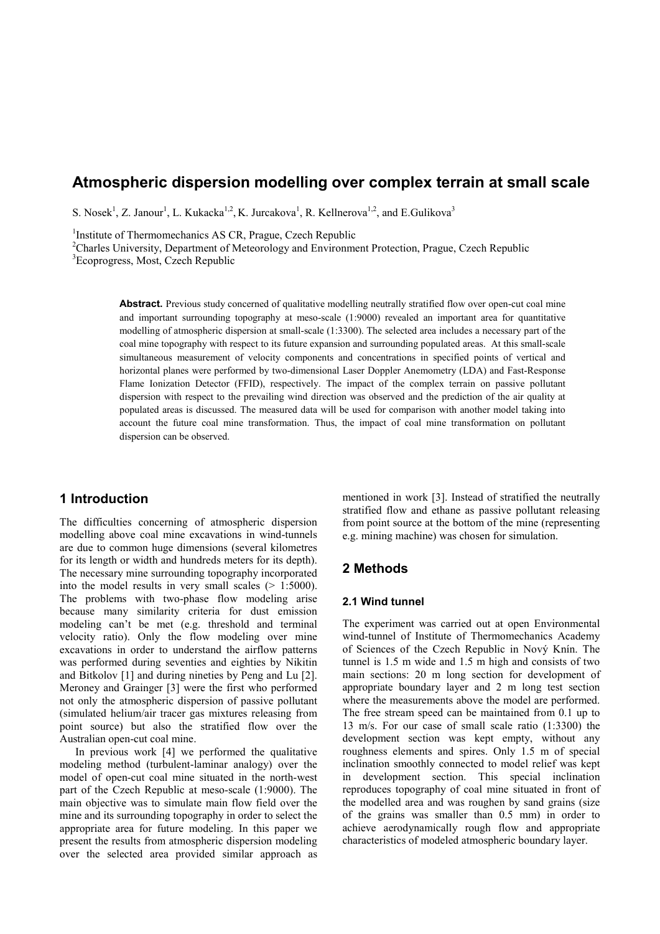# **Atmospheric dispersion modelling over complex terrain at small scale**

S. Nosek<sup>1</sup>, Z. Janour<sup>1</sup>, L. Kukacka<sup>1,2</sup>, K. Jurcakova<sup>1</sup>, R. Kellnerova<sup>1,2</sup>, and E. Gulikova<sup>3</sup>

<sup>1</sup>Institute of Thermomechanics AS CR, Prague, Czech Republic

<sup>2</sup>Charles University, Department of Meteorology and Environment Protection, Prague, Czech Republic

<sup>3</sup>Ecoprogress, Most, Czech Republic

Abstract. Previous study concerned of qualitative modelling neutrally stratified flow over open-cut coal mine and important surrounding topography at meso-scale (1:9000) revealed an important area for quantitative modelling of atmospheric dispersion at small-scale (1:3300). The selected area includes a necessary part of the coal mine topography with respect to its future expansion and surrounding populated areas. At this small-scale simultaneous measurement of velocity components and concentrations in specified points of vertical and horizontal planes were performed by two-dimensional Laser Doppler Anemometry (LDA) and Fast-Response Flame Ionization Detector (FFID), respectively. The impact of the complex terrain on passive pollutant dispersion with respect to the prevailing wind direction was observed and the prediction of the air quality at populated areas is discussed. The measured data will be used for comparison with another model taking into account the future coal mine transformation. Thus, the impact of coal mine transformation on pollutant dispersion can be observed.

## **1 Introduction**

The difficulties concerning of atmospheric dispersion modelling above coal mine excavations in wind-tunnels are due to common huge dimensions (several kilometres for its length or width and hundreds meters for its depth). The necessary mine surrounding topography incorporated into the model results in very small scales  $(> 1:5000)$ . The problems with two-phase flow modeling arise because many similarity criteria for dust emission modeling can't be met (e.g. threshold and terminal velocity ratio). Only the flow modeling over mine excavations in order to understand the airflow patterns was performed during seventies and eighties by Nikitin and Bitkolov [1] and during nineties by Peng and Lu [2]. Meroney and Grainger [3] were the first who performed not only the atmospheric dispersion of passive pollutant (simulated helium/air tracer gas mixtures releasing from point source) but also the stratified flow over the Australian open-cut coal mine.

In previous work [4] we performed the qualitative modeling method (turbulent-laminar analogy) over the model of open-cut coal mine situated in the north-west part of the Czech Republic at meso-scale (1:9000). The main objective was to simulate main flow field over the mine and its surrounding topography in order to select the appropriate area for future modeling. In this paper we present the results from atmospheric dispersion modeling over the selected area provided similar approach as

mentioned in work [3]. Instead of stratified the neutrally stratified flow and ethane as passive pollutant releasing from point source at the bottom of the mine (representing e.g. mining machine) was chosen for simulation.

#### **2 Methods**

#### **2.1 Wind tunnel**

The experiment was carried out at open Environmental wind-tunnel of Institute of Thermomechanics Academy of Sciences of the Czech Republic in Nový Knín. The tunnel is 1.5 m wide and 1.5 m high and consists of two main sections: 20 m long section for development of appropriate boundary layer and 2 m long test section where the measurements above the model are performed. The free stream speed can be maintained from 0.1 up to 13 m/s. For our case of small scale ratio (1:3300) the development section was kept empty, without any roughness elements and spires. Only 1.5 m of special inclination smoothly connected to model relief was kept in development section. This special inclination reproduces topography of coal mine situated in front of the modelled area and was roughen by sand grains (size of the grains was smaller than 0.5 mm) in order to achieve aerodynamically rough flow and appropriate characteristics of modeled atmospheric boundary layer.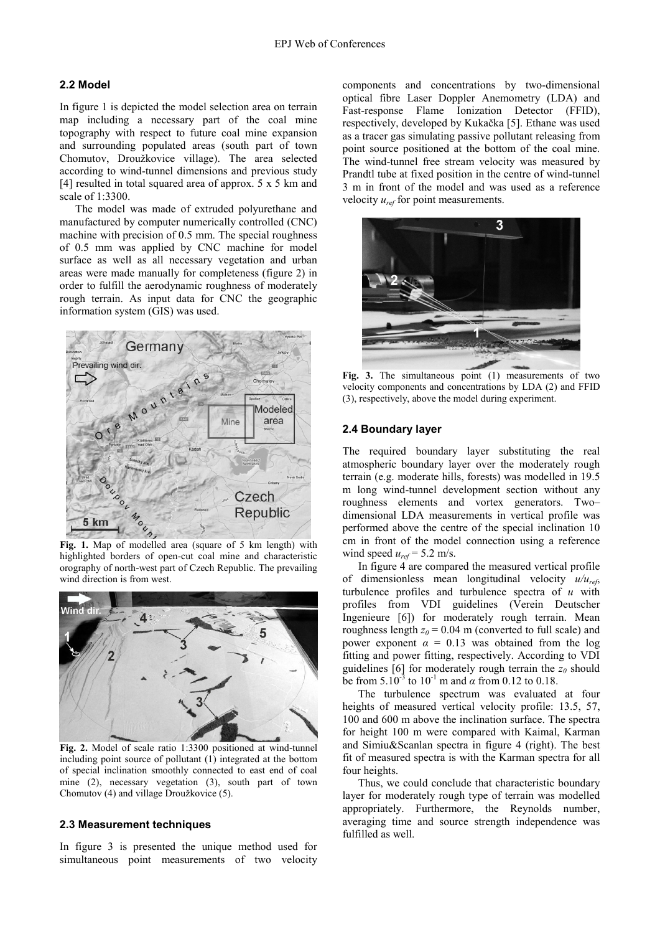#### **2.2 Model**

In figure 1 is depicted the model selection area on terrain map including a necessary part of the coal mine topography with respect to future coal mine expansion and surrounding populated areas (south part of town Chomutov, Droužkovice village). The area selected according to wind-tunnel dimensions and previous study [4] resulted in total squared area of approx.  $5 \times 5$  km and scale of 1:3300.

The model was made of extruded polyurethane and manufactured by computer numerically controlled (CNC) machine with precision of 0.5 mm. The special roughness of 0.5 mm was applied by CNC machine for model surface as well as all necessary vegetation and urban areas were made manually for completeness (figure 2) in order to fulfill the aerodynamic roughness of moderately rough terrain. As input data for CNC the geographic information system (GIS) was used.



**Fig. 1.** Map of modelled area (square of 5 km length) with highlighted borders of open-cut coal mine and characteristic orography of north-west part of Czech Republic. The prevailing wind direction is from west.



**Fig. 2.** Model of scale ratio 1:3300 positioned at wind-tunnel including point source of pollutant (1) integrated at the bottom of special inclination smoothly connected to east end of coal mine (2), necessary vegetation (3), south part of town Chomutov (4) and village Droužkovice (5).

#### **2.3 Measurement techniques**

In figure 3 is presented the unique method used for simultaneous point measurements of two velocity components and concentrations by two-dimensional optical fibre Laser Doppler Anemometry (LDA) and Fast-response Flame Ionization Detector (FFID), respectively, developed by Kukačka [5]. Ethane was used as a tracer gas simulating passive pollutant releasing from point source positioned at the bottom of the coal mine. The wind-tunnel free stream velocity was measured by Prandtl tube at fixed position in the centre of wind-tunnel 3 m in front of the model and was used as a reference velocity *uref* for point measurements.



Fig. 3. The simultaneous point (1) measurements of two velocity components and concentrations by LDA (2) and FFID (3), respectively, above the model during experiment.

#### **2.4 Boundary layer**

The required boundary layer substituting the real atmospheric boundary layer over the moderately rough terrain (e.g. moderate hills, forests) was modelled in 19.5 m long wind-tunnel development section without any roughness elements and vortex generators. Two– dimensional LDA measurements in vertical profile was performed above the centre of the special inclination 10 cm in front of the model connection using a reference wind speed  $u_{ref} = 5.2$  m/s.

In figure 4 are compared the measured vertical profile of dimensionless mean longitudinal velocity *u/uref*, turbulence profiles and turbulence spectra of *u* with profiles from VDI guidelines (Verein Deutscher Ingenieure [6]) for moderately rough terrain. Mean roughness length  $z_0$  = 0.04 m (converted to full scale) and power exponent  $\alpha = 0.13$  was obtained from the log fitting and power fitting, respectively. According to VDI guidelines [6] for moderately rough terrain the  $z_0$  should be from  $5.10^{-3}$  to  $10^{-1}$  m and  $\alpha$  from 0.12 to 0.18.

The turbulence spectrum was evaluated at four heights of measured vertical velocity profile: 13.5, 57, 100 and 600 m above the inclination surface. The spectra for height 100 m were compared with Kaimal, Karman and Simiu&Scanlan spectra in figure 4 (right). The best fit of measured spectra is with the Karman spectra for all four heights.

Thus, we could conclude that characteristic boundary layer for moderately rough type of terrain was modelled appropriately. Furthermore, the Reynolds number, averaging time and source strength independence was fulfilled as well.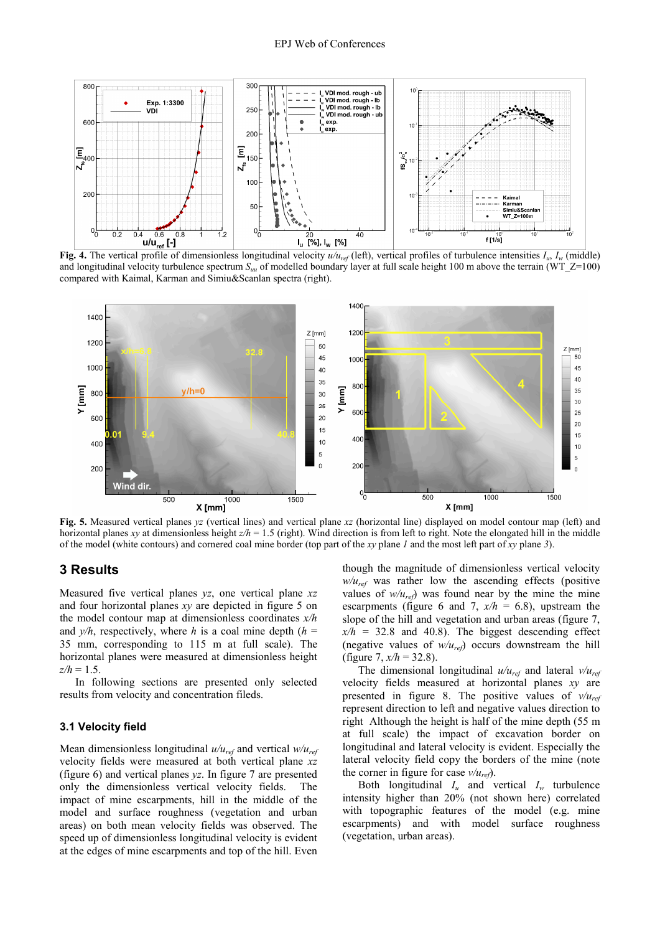

**Fig. 4.** The vertical profile of dimensionless longitudinal velocity  $u/u_{ref}$  (left), vertical profiles of turbulence intensities  $I_u$ ,  $I_w$  (middle) and longitudinal velocity turbulence spectrum  $S_{uu}$  of modelled boundary layer at full scale height 100 m above the terrain (WT\_Z=100) compared with Kaimal, Karman and Simiu&Scanlan spectra (right).



**Fig. 5.** Measured vertical planes *yz* (vertical lines) and vertical plane *xz* (horizontal line) displayed on model contour map (left) and horizontal planes *xy* at dimensionless height *z/h* = 1.5 (right). Wind direction is from left to right. Note the elongated hill in the middle of the model (white contours) and cornered coal mine border (top part of the *xy* plane *1* and the most left part of *xy* plane *3*).

### **3 Results**

Measured five vertical planes *yz*, one vertical plane *xz* and four horizontal planes *xy* are depicted in figure 5 on the model contour map at dimensionless coordinates *x/h* and  $y/h$ , respectively, where *h* is a coal mine depth  $(h =$ 35 mm, corresponding to 115 m at full scale). The horizontal planes were measured at dimensionless height  $z/h = 1.5$ .

In following sections are presented only selected results from velocity and concentration fileds.

#### **3.1 Velocity field**

Mean dimensionless longitudinal *u/uref* and vertical *w/uref* velocity fields were measured at both vertical plane *xz* (figure 6) and vertical planes *yz*. In figure 7 are presented only the dimensionless vertical velocity fields. The impact of mine escarpments, hill in the middle of the model and surface roughness (vegetation and urban areas) on both mean velocity fields was observed. The speed up of dimensionless longitudinal velocity is evident at the edges of mine escarpments and top of the hill. Even

though the magnitude of dimensionless vertical velocity *w/uref* was rather low the ascending effects (positive values of  $w/u_{ref}$  was found near by the mine the mine escarpments (figure 6 and 7,  $x/h = 6.8$ ), upstream the slope of the hill and vegetation and urban areas (figure 7,  $x/h = 32.8$  and 40.8). The biggest descending effect (negative values of *w/uref*) occurs downstream the hill (figure 7, *x/h* = 32.8).

The dimensional longitudinal *u/uref* and lateral *v/uref* velocity fields measured at horizontal planes *xy* are presented in figure 8. The positive values of *v/uref* represent direction to left and negative values direction to right Although the height is half of the mine depth (55 m at full scale) the impact of excavation border on longitudinal and lateral velocity is evident. Especially the lateral velocity field copy the borders of the mine (note the corner in figure for case  $v/u_{ref}$ ).

Both longitudinal  $I_u$  and vertical  $I_w$  turbulence intensity higher than 20% (not shown here) correlated with topographic features of the model (e.g. mine escarpments) and with model surface roughness (vegetation, urban areas).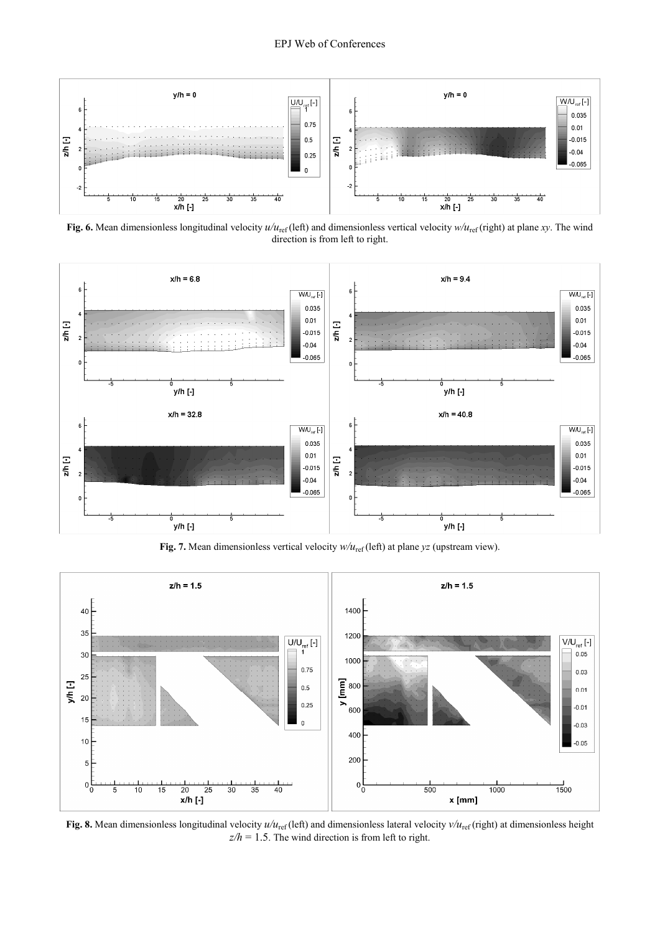

**Fig. 6.** Mean dimensionless longitudinal velocity  $u/u_{\text{ref}}$  (left) and dimensionless vertical velocity  $w/u_{\text{ref}}$  (right) at plane *xy*. The wind direction is from left to right.



**Fig. 7.** Mean dimensionless vertical velocity  $w/u_{\text{ref}}$  (left) at plane  $yz$  (upstream view).



**Fig. 8.** Mean dimensionless longitudinal velocity  $u/u_{\text{ref}}$  (left) and dimensionless lateral velocity  $v/u_{\text{ref}}$  (right) at dimensionless height  $z/h = 1.5$ . The wind direction is from left to right.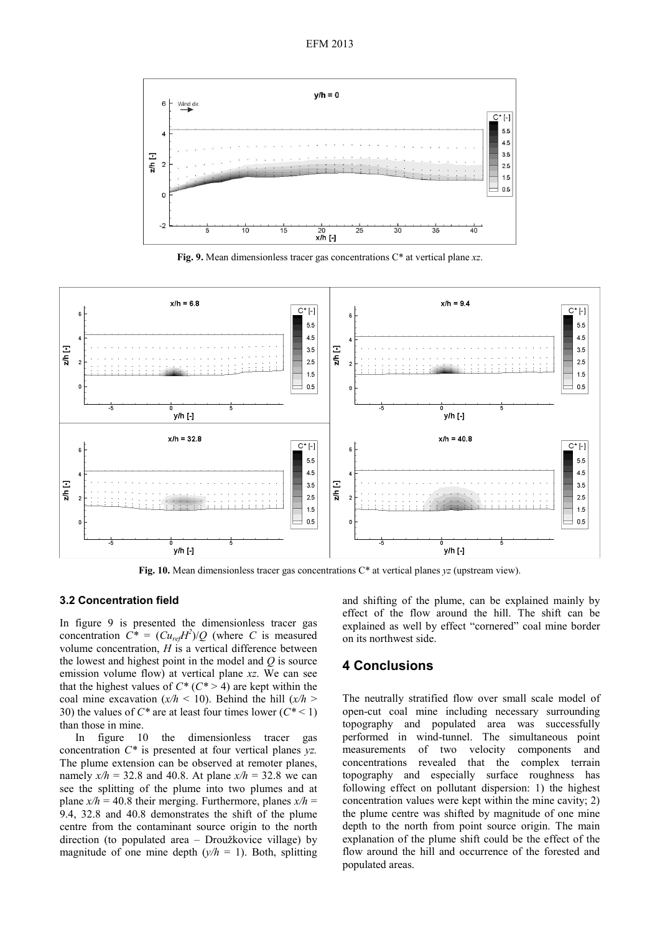

**Fig. 9.** Mean dimensionless tracer gas concentrations C\* at vertical plane *xz*.



**Fig. 10.** Mean dimensionless tracer gas concentrations C\* at vertical planes *yz* (upstream view).

#### **3.2 Concentration field**

In figure 9 is presented the dimensionless tracer gas concentration  $C^* = (Cu_{ref}H^2)/Q$  (where *C* is measured volume concentration, *H* is a vertical difference between the lowest and highest point in the model and *Q* is source emission volume flow) at vertical plane *xz*. We can see that the highest values of  $C^*$  ( $C^*$  > 4) are kept within the coal mine excavation  $(x/h < 10)$ . Behind the hill  $(x/h >$ 30) the values of *C\** are at least four times lower (*C\** < 1) than those in mine.

In figure 10 the dimensionless tracer gas concentration *C\** is presented at four vertical planes *yz.* The plume extension can be observed at remoter planes, namely  $x/h = 32.8$  and 40.8. At plane  $x/h = 32.8$  we can see the splitting of the plume into two plumes and at plane  $x/h = 40.8$  their merging. Furthermore, planes  $x/h =$ 9.4, 32.8 and 40.8 demonstrates the shift of the plume centre from the contaminant source origin to the north direction (to populated area – Droužkovice village) by magnitude of one mine depth  $(y/h = 1)$ . Both, splitting

and shifting of the plume, can be explained mainly by effect of the flow around the hill. The shift can be explained as well by effect "cornered" coal mine border on its northwest side.

### **4 Conclusions**

The neutrally stratified flow over small scale model of open-cut coal mine including necessary surrounding topography and populated area was successfully performed in wind-tunnel. The simultaneous point measurements of two velocity components and concentrations revealed that the complex terrain topography and especially surface roughness has following effect on pollutant dispersion: 1) the highest concentration values were kept within the mine cavity; 2) the plume centre was shifted by magnitude of one mine depth to the north from point source origin. The main explanation of the plume shift could be the effect of the flow around the hill and occurrence of the forested and populated areas.